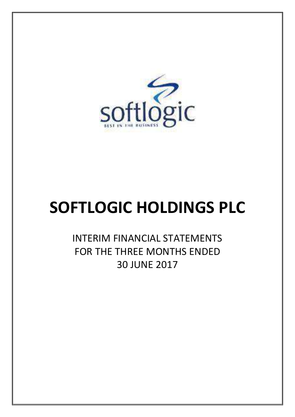

# **SOFTLOGIC HOLDINGS PLC**

INTERIM FINANCIAL STATEMENTS FOR THE THREE MONTHS ENDED 30 JUNE 2017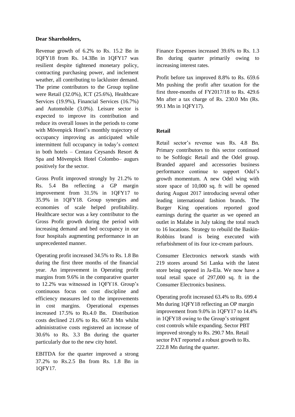#### **Dear Shareholders,**

Revenue growth of 6.2% to Rs. 15.2 Bn in 1QFY18 from Rs. 14.3Bn in 1QFY17 was resilient despite tightened monetary policy, contracting purchasing power, and inclement weather, all contributing to lackluster demand. The prime contributors to the Group topline were Retail (32.0%), ICT (25.6%), Healthcare Services (19.9%), Financial Services (16.7%) and Automobile (3.0%). Leisure sector is expected to improve its contribution and reduce its overall losses in the periods to come with Mövenpick Hotel's monthly trajectory of occupancy improving as anticipated while intermittent full occupancy in today's context in both hotels – Centara Ceysands Resort & Spa and Mövenpick Hotel Colombo– augurs positively for the sector.

Gross Profit improved strongly by 21.2% to Rs. 5.4 Bn reflecting a GP margin improvement from 31.5% in 1QFY17 to 35.9% in 1QFY18. Group synergies and economies of scale helped profitability. Healthcare sector was a key contributor to the Gross Profit growth during the period with increasing demand and bed occupancy in our four hospitals augmenting performance in an unprecedented manner.

Operating profit increased 34.5% to Rs. 1.8 Bn during the first three months of the financial year. An improvement in Operating profit margins from 9.6% in the comparative quarter to 12.2% was witnessed in 1QFY18. Group's continuous focus on cost discipline and efficiency measures led to the improvements in cost margins. Operational expenses increased 17.5% to Rs.4.0 Bn. Distribution costs declined 21.6% to Rs. 667.8 Mn whilst administrative costs registered an increase of 30.6% to Rs. 3.3 Bn during the quarter particularly due to the new city hotel.

EBITDA for the quarter improved a strong 37.2% to Rs.2.5 Bn from Rs. 1.8 Bn in 1QFY17.

Finance Expenses increased 39.6% to Rs. 1.3 Bn during quarter primarily owing to increasing interest rates.

Profit before tax improved 8.8% to Rs. 659.6 Mn pushing the profit after taxation for the first three-months of FY2017/18 to Rs. 429.6 Mn after a tax charge of Rs. 230.0 Mn (Rs. 99.1 Mn in 1QFY17).

#### **Retail**

Retail sector's revenue was Rs. 4.8 Bn. Primary contributors to this sector continued to be Softlogic Retail and the Odel group. Branded apparel and accessories business performance continue to support Odel's growth momentum. A new Odel wing with store space of 10,000 sq. ft will be opened during August 2017 introducing several other leading international fashion brands. The Burger King operations reported good earnings during the quarter as we opened an outlet in Malabe in July taking the total reach to 16 locations. Strategy to rebuild the Baskin-Robbins brand is being executed with refurbishment of its four ice-cream parlours.

Consumer Electronics network stands with 219 stores around Sri Lanka with the latest store being opened in Ja-Ela. We now have a total retail space of 297,000 sq. ft in the Consumer Electronics business.

Operating profit increased 63.4% to Rs. 699.4 Mn during 1QFY18 reflecting an OP margin improvement from 9.0% in 1QFY17 to 14.4% in 1QFY18 owing to the Group's stringent cost controls while expanding. Sector PBT improved strongly to Rs. 290.7 Mn. Retail sector PAT reported a robust growth to Rs. 222.8 Mn during the quarter.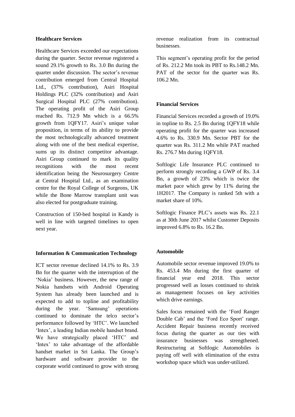#### **Healthcare Services**

Healthcare Services exceeded our expectations during the quarter. Sector revenue registered a sound 29.1% growth to Rs. 3.0 Bn during the quarter under discussion. The sector's revenue contribution emerged from Central Hospital Ltd., (37% contribution), Asiri Hospital Holdings PLC (32% contribution) and Asiri Surgical Hospital PLC (27% contribution). The operating profit of the Asiri Group reached Rs. 712.9 Mn which is a 66.5% growth from 1QFY17. Asiri's unique value proposition, in terms of its ability to provide the most technologically advanced treatment along with one of the best medical expertise, sums up its distinct competitor advantage. Asiri Group continued to mark its quality recognitions with the most recent identification being the Neurosurgery Centre at Central Hospital Ltd., as an examination centre for the Royal College of Surgeons, UK while the Bone Marrow transplant unit was also elected for postgraduate training.

Construction of 150-bed hospital in Kandy is well in line with targeted timelines to open next year.

#### **Information & Communication Technology**

ICT sector revenue declined 14.1% to Rs. 3.9 Bn for the quarter with the interruption of the 'Nokia' business. However, the new range of Nokia handsets with Android Operating System has already been launched and is expected to add to topline and profitability during the year. 'Samsung' operations continued to dominate the telco sector's performance followed by 'HTC'. We launched 'Intex', a leading Indian mobile handset brand. We have strategically placed 'HTC' and 'Intex' to take advantage of the affordable handset market in Sri Lanka. The Group's hardware and software provider to the corporate world continued to grow with strong revenue realization from its contractual businesses.

This segment's operating profit for the period of Rs. 212.2 Mn took its PBT to Rs.148.2 Mn. PAT of the sector for the quarter was Rs. 106.2 Mn.

#### **Financial Services**

Financial Services recorded a growth of 19.0% in topline to Rs. 2.5 Bn during 1QFY18 while operating profit for the quarter was increased 4.6% to Rs. 330.9 Mn. Sector PBT for the quarter was Rs. 311.2 Mn while PAT reached Rs. 276.7 Mn during 1QFY18.

Softlogic Life Insurance PLC continued to perform strongly recording a GWP of Rs. 3.4 Bn, a growth of 23% which is twice the market pace which grew by 11% during the 1H2017. The Company is ranked 5th with a market share of 10%.

Softlogic Finance PLC's assets was Rs. 22.1 as at 30th June 2017 whilst Customer Deposits improved 6.8% to Rs. 16.2 Bn.

### **Automobile**

Automobile sector revenue improved 19.0% to Rs. 453.4 Mn during the first quarter of financial year end 2018. This sector progressed well as losses continued to shrink as management focuses on key activities which drive earnings.

Sales focus remained with the 'Ford Ranger Double Cab' and the 'Ford Eco Sport' range. Accident Repair business recently received focus during the quarter as our ties with insurance businesses was strengthened. Restructuring at Softlogic Automobiles is paying off well with elimination of the extra workshop space which was under-utilized.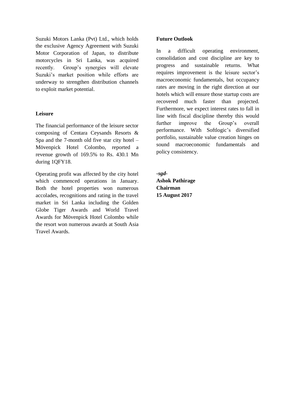Suzuki Motors Lanka (Pvt) Ltd., which holds the exclusive Agency Agreement with Suzuki Motor Corporation of Japan, to distribute motorcycles in Sri Lanka, was acquired recently. Group's synergies will elevate Suzuki's market position while efforts are underway to strengthen distribution channels to exploit market potential.

#### **Leisure**

The financial performance of the leisure sector composing of Centara Ceysands Resorts & Spa and the 7-month old five star city hotel – Mövenpick Hotel Colombo, reported a revenue growth of 169.5% to Rs. 430.1 Mn during 1QFY18.

Operating profit was affected by the city hotel which commenced operations in January. Both the hotel properties won numerous accolades, recognitions and rating in the travel market in Sri Lanka including the Golden Globe Tiger Awards and World Travel Awards for Mövenpick Hotel Colombo while the resort won numerous awards at South Asia Travel Awards.

#### **Future Outlook**

In a difficult operating environment, consolidation and cost discipline are key to progress and sustainable returns. What requires improvement is the leisure sector's macroeconomic fundamentals, but occupancy rates are moving in the right direction at our hotels which will ensure those startup costs are recovered much faster than projected. Furthermore, we expect interest rates to fall in line with fiscal discipline thereby this would further improve the Group's overall performance. With Softlogic's diversified portfolio, sustainable value creation hinges on sound macroeconomic fundamentals and policy consistency.

*-sgd-***Ashok Pathirage Chairman 15 August 2017**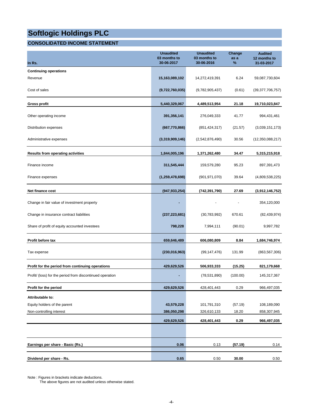#### **CONSOLIDATED INCOME STATEMENT**

| In Rs.                                                    | <b>Unaudited</b><br>03 months to<br>30-06-2017 | <b>Unaudited</b><br>03 months to<br>30-06-2016 | Change<br>as a<br>% | <b>Audited</b><br>12 months to<br>31-03-2017 |
|-----------------------------------------------------------|------------------------------------------------|------------------------------------------------|---------------------|----------------------------------------------|
| <b>Continuing operations</b>                              |                                                |                                                |                     |                                              |
| Revenue                                                   | 15,163,089,102                                 | 14,272,419,391                                 | 6.24                | 59,087,730,604                               |
| Cost of sales                                             | (9,722,760,035)                                | (9,782,905,437)                                | (0.61)              | (39, 377, 706, 757)                          |
| Gross profit                                              | 5,440,329,067                                  | 4,489,513,954                                  | 21.18               | 19,710,023,847                               |
| Other operating income                                    | 391,356,141                                    | 276,049,333                                    | 41.77               | 994,431,461                                  |
| Distribution expenses                                     | (667, 770, 866)                                | (851, 424, 317)                                | (21.57)             | (3,039,151,173)                              |
| Administrative expenses                                   | (3,319,909,146)                                | (2,542,876,490)                                | 30.56               | (12,350,088,217)                             |
| <b>Results from operating activities</b>                  | 1,844,005,196                                  | 1,371,262,480                                  | 34.47               | 5,315,215,918                                |
| Finance income                                            | 311,545,444                                    | 159,579,280                                    | 95.23               | 897,391,473                                  |
| Finance expenses                                          | (1,259,478,698)                                | (901, 971, 070)                                | 39.64               | (4,809,538,225)                              |
| Net finance cost                                          | (947, 933, 254)                                | (742,391,790)                                  | 27.69               | (3,912,146,752)                              |
| Change in fair value of investment property               |                                                |                                                |                     | 354,120,000                                  |
| Change in insurance contract liabilities                  | (237, 223, 681)                                | (30, 783, 992)                                 | 670.61              | (82, 439, 974)                               |
| Share of profit of equity accounted investees             | 798,228                                        | 7,994,111                                      | (90.01)             | 9,997,782                                    |
| Profit before tax                                         | 659,646,489                                    | 606,080,809                                    | 8.84                | 1,684,746,974                                |
| Tax expense                                               | (230,016,963)                                  | (99, 147, 476)                                 | 131.99              | (863, 567, 306)                              |
| Profit for the period from continuing operations          | 429,629,526                                    | 506,933,333                                    | (15.25)             | 821,179,668                                  |
| Profit/ (loss) for the period from discontinued operation |                                                | (78, 531, 890)                                 | (100.00)            | 145,317,367                                  |
| Profit for the period                                     | 429,629,526                                    | 428,401,443                                    | 0.29                | 966,497,035                                  |
| Attributable to:                                          |                                                |                                                |                     |                                              |
| Equity holders of the parent                              | 43,579,228                                     | 101,791,310                                    | (57.19)             | 108,189,090                                  |
| Non-controlling interest                                  | 386,050,298                                    | 326,610,133                                    | 18.20               | 858,307,945                                  |
|                                                           | 429,629,526                                    | 428,401,443                                    | 0.29                | 966,497,035                                  |
|                                                           |                                                |                                                |                     |                                              |
| Earnings per share - Basic (Rs.)                          | 0.06                                           | 0.13                                           | (57.19)             | 0.14                                         |
| Dividend per share - Rs.                                  | 0.65                                           | 0.50                                           | 30.00               | 0.50                                         |

Note : Figures in brackets indicate deductions.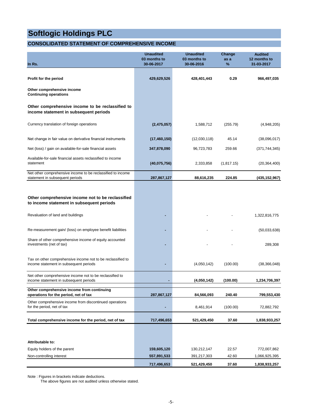#### **CONSOLIDATED STATEMENT OF COMPREHENSIVE INCOME**

| In Rs.                                                                                                | <b>Unaudited</b><br>03 months to<br>30-06-2017 | <b>Unaudited</b><br>03 months to<br>30-06-2016 | Change<br>as a<br>$\%$ | <b>Audited</b><br>12 months to<br>31-03-2017 |
|-------------------------------------------------------------------------------------------------------|------------------------------------------------|------------------------------------------------|------------------------|----------------------------------------------|
|                                                                                                       |                                                |                                                |                        |                                              |
| Profit for the period                                                                                 | 429,629,526                                    | 428,401,443                                    | 0.29                   | 966,497,035                                  |
| Other comprehensive income<br><b>Continuing operations</b>                                            |                                                |                                                |                        |                                              |
| Other comprehensive income to be reclassified to<br>income statement in subsequent periods            |                                                |                                                |                        |                                              |
| Currency translation of foreign operations                                                            | (2,475,057)                                    | 1,588,712                                      | (255.79)               | (4,948,205)                                  |
| Net change in fair value on derivative financial instruments                                          | (17, 460, 150)                                 | (12,030,118)                                   | 45.14                  | (38,096,017)                                 |
| Net (loss) / gain on available-for-sale financial assets                                              | 347,878,090                                    | 96,723,783                                     | 259.66                 | (371, 744, 345)                              |
| Available-for-sale financial assets reclassified to income<br>statement                               | (40,075,756)                                   | 2,333,858                                      | (1,817.15)             | (20, 364, 400)                               |
| Net other comprehensive income to be reclassified to income<br>statement in subsequent periods        | 287,867,127                                    | 88,616,235                                     | 224.85                 | (435, 152, 967)                              |
|                                                                                                       |                                                |                                                |                        |                                              |
| Other comprehensive income not to be reclassified<br>to income statement in subsequent periods        |                                                |                                                |                        |                                              |
| Revaluation of land and buildings                                                                     |                                                |                                                |                        | 1,322,816,775                                |
| Re-measurement gain/ (loss) on employee benefit liabilities                                           |                                                |                                                |                        | (50,033,638)                                 |
| Share of other comprehensive income of equity accounted<br>investments (net of tax)                   |                                                |                                                |                        | 289,308                                      |
| Tax on other comprehensive income not to be reclassified to<br>income statement in subsequent periods |                                                | (4,050,142)                                    | (100.00)               | (38, 366, 048)                               |
| Net other comprehensive income not to be reclassified to<br>income statement in subsequent periods    |                                                | (4,050,142)                                    | (100.00)               | 1,234,706,397                                |
| Other comprehensive income from continuing<br>operations for the period, net of tax                   | 287,867,127                                    | 84,566,093                                     | 240.40                 | 799,553,430                                  |
| Other comprehensive income from discontinued operations<br>for the period, net of tax                 |                                                | 8,461,914                                      | (100.00)               | 72,882,792                                   |
| Total comprehensive income for the period, net of tax                                                 | 717,496,653                                    | 521,429,450                                    | 37.60                  | 1,838,933,257                                |
|                                                                                                       |                                                |                                                |                        |                                              |
| Attributable to:                                                                                      |                                                |                                                |                        |                                              |
| Equity holders of the parent                                                                          | 159,605,120                                    | 130,212,147                                    | 22.57                  | 772,007,862                                  |
| Non-controlling interest                                                                              | 557,891,533                                    | 391,217,303                                    | 42.60                  | 1,066,925,395                                |
|                                                                                                       | 717,496,653                                    | 521,429,450                                    | 37.60                  | 1,838,933,257                                |

Note : Figures in brackets indicate deductions.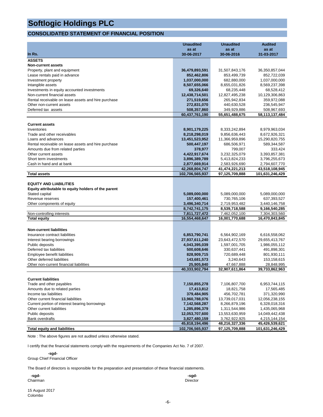#### **CONSOLIDATED STATEMENT OF FINANCIAL POSITION**

|                                                     | <b>Unaudited</b>                | <b>Unaudited</b>                | <b>Audited</b>                  |
|-----------------------------------------------------|---------------------------------|---------------------------------|---------------------------------|
|                                                     | as at                           | as at                           | as at                           |
| In Rs.                                              | 30-06-2017                      | 30-06-2016                      | 31-03-2017                      |
| <b>ASSETS</b>                                       |                                 |                                 |                                 |
| <b>Non-current assets</b>                           |                                 |                                 |                                 |
| Property, plant and equipment                       | 36,479,893,591                  | 31,507,843,176                  | 36,350,857,044                  |
| Lease rentals paid in advance                       | 852,462,806                     | 853,499,739                     | 852,722,039                     |
| Investment property                                 | 1,037,000,000                   | 682,880,000                     | 1,037,000,000                   |
| Intangible assets                                   | 8,507,655,066                   | 8,655,031,826                   | 8,569,237,398                   |
| Investments in equity accounted investments         | 69,326,640                      | 68,235,448                      | 68,528,412                      |
| Non-current financial assets                        | 12,438,714,501                  | 12,827,495,238                  | 10,129,306,863                  |
| Rental receivable on lease assets and hire purchase | 271,519,656                     | 265,942,834                     | 359,972,088                     |
| Other non-current assets                            | 272,831,070                     | 440,630,528                     | 236,545,947<br>508,967,693      |
| Deferred tax assets                                 | 508,357,860<br>60,437,761,190   | 349,929,886<br>55,651,488,675   | 58,113,137,484                  |
|                                                     |                                 |                                 |                                 |
| <b>Current assets</b>                               |                                 |                                 |                                 |
| Inventories                                         | 8,901,179,225                   | 8,333,242,894                   | 8,979,963,034                   |
| Trade and other receivables                         | 8,218,298,019                   | 9,856,636,443                   | 8,672,926,321                   |
| Loans and advances                                  | 13,451,523,952                  | 11,366,959,896                  | 15,290,820,755                  |
| Rental receivable on lease assets and hire purchase | 500,447,197                     | 686,506,971                     | 589,344,587                     |
| Amounts due from related parties                    | 378,977                         | 799,007                         | 333,424                         |
| Other current assets                                | 4,422,917,674                   | 3,232,325,079                   | 3,393,857,381                   |
| Short term investments                              | 3,896,389,789                   | 5,413,824,233                   | 3,796,255,673                   |
| Cash in hand and at bank                            | 2,877,669,914                   | 2,583,926,690                   | 2,794,607,770                   |
|                                                     | 42,268,804,747                  | 41,474,221,213                  | 43,518,108,945                  |
| <b>Total assets</b>                                 | 102,706,565,937                 | 97,125,709,888                  | 101,631,246,429                 |
|                                                     |                                 |                                 |                                 |
| <b>EQUITY AND LIABILITIES</b>                       |                                 |                                 |                                 |
| Equity attributable to equity holders of the parent |                                 |                                 |                                 |
| Stated capital                                      | 5,089,000,000                   | 5,089,000,000                   | 5,089,000,000                   |
| Revenue reserves                                    | 157,400,461                     | 730,765,106                     | 637,393,527                     |
| Other components of equity                          | 3,496,340,714                   | 2,719,953,482                   | 3,440,146,758                   |
| Non-controlling interests                           | 8,742,741,175<br>7,811,727,472  | 8,539,718,588<br>7,462,052,100  | 9,166,540,285                   |
| <b>Total equity</b>                                 | 16,554,468,647                  | 16,001,770,688                  | 7,304,303,560<br>16,470,843,845 |
|                                                     |                                 |                                 |                                 |
|                                                     |                                 |                                 |                                 |
| <b>Non-current liabilities</b>                      |                                 |                                 |                                 |
| Insurance contract liabilities                      | 6,853,790,741                   | 6,564,902,169<br>23,643,472,570 | 6,616,558,062<br>29,655,413,767 |
| Interest bearing borrowings<br>Public deposits      | 27,937,611,240<br>4,043,395,039 | 1,597,001,705                   | 1,986,055,112                   |
| Deferred tax liabilities                            | 500,608,646                     | 330,637,441                     | 491,898,301                     |
| Employee benefit liabilities                        | 828,909,715                     | 720,689,448                     | 801,930,111                     |
| Other deferred liabilities                          | 143,681,573                     | 3,240,643                       | 153,158,615                     |
| Other non-current financial liabilities             | 25,905,840                      | 47,667,888                      | 28,848,995                      |
|                                                     | 40,333,902,794                  | 32,907,611,864                  | 39,733,862,963                  |
|                                                     |                                 |                                 |                                 |
| <b>Current liabilities</b>                          |                                 |                                 |                                 |
| Trade and other payables                            | 7,150,855,278                   | 7,106,807,700                   | 6,953,744,115                   |
| Amounts due to related parties                      | 17,413,812                      | 18,821,758                      | 17,565,485                      |
| Income tax liabilities                              | 379,484,905                     | 456,702,781                     | 371,320,990                     |
| Other current financial liabilities                 | 13,960,788,076                  | 13,739,017,031                  | 12,056,238,155                  |
| Current portion of interest bearing borrowings      | 7,142,568,287                   | 8,266,879,196                   | 6,328,018,316                   |
| Other current liabilities                           | 1,285,896,379                   | 1,311,544,986                   | 1,435,065,968                   |
| Public deposits                                     | 12,053,707,600                  | 13,553,630,959                  | 14,049,442,438                  |
| <b>Bank overdrafts</b>                              | 3,827,480,159                   | 3,762,922,925                   | 4,215,144,154                   |
|                                                     | 45,818,194,496                  | 48,216,327,336                  | 45,426,539,621                  |
| <b>Total equity and liabilities</b>                 | 102,706,565,937                 | 97,125,709,888                  | 101,631,246,429                 |

Note : The above figures are not audited unless otherwise stated.

I certify that the financial statements comply with the requirements of the Companies Act No. 7 of 2007.

#### **-sgd-**

Group Chief Financial Officer

The Board of directors is responsible for the preparation and presentation of these financial statements.

| -sgd-    | -sgd-    |
|----------|----------|
| Chairman | Director |
|          |          |

15 August 2017 Colombo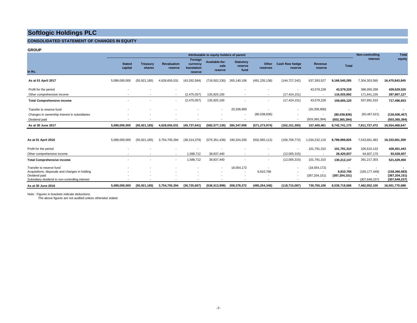#### **CONSOLIDATED STATEMENT OF CHANGES IN EQUITY**

#### **GROUP**

|                                                                                                                                                | Attributable to equity holders of parent |                           |                               |                                               |                                   |                                     | <b>Non-controlling</b>   | Tota                                                 |                                                             |                              |                                    |                                                     |
|------------------------------------------------------------------------------------------------------------------------------------------------|------------------------------------------|---------------------------|-------------------------------|-----------------------------------------------|-----------------------------------|-------------------------------------|--------------------------|------------------------------------------------------|-------------------------------------------------------------|------------------------------|------------------------------------|-----------------------------------------------------|
| In Rs.                                                                                                                                         | <b>Stated</b><br>capital                 | <b>Treasury</b><br>shares | <b>Revaluation</b><br>reserve | Foreign<br>currency<br>translation<br>reserve | Available-for-<br>sale<br>reserve | <b>Statutory</b><br>reserve<br>fund | Other<br>reserves        | <b>Cash flow hedge</b><br>reserve                    | Revenue<br>reserve                                          | <b>Total</b>                 | interest                           | equity                                              |
| As at 01 April 2017                                                                                                                            | 5,089,000,000                            | (55, 921, 185)            | 4,628,655,031                 | (43, 262, 584)                                | (718, 502, 230)                   | 265,140,106                         | (491, 235, 138)          | (144, 727, 242)                                      | 637,393,527                                                 | 9,166,540,285                | 7,304,303,560                      | 16,470,843,845                                      |
| Profit for the period                                                                                                                          |                                          |                           |                               |                                               |                                   |                                     |                          | $\overline{\phantom{a}}$                             | 43,579,228                                                  | 43,579,228                   | 386,050,298                        | 429,629,526                                         |
| Other comprehensive income                                                                                                                     |                                          |                           | $\overline{\phantom{a}}$      | (2,475,057)                                   | 135,925,100                       |                                     |                          | (17, 424, 151)                                       | $\overline{\phantom{a}}$                                    | 116,025,892                  | 171,841,235                        | 287,867,127                                         |
| <b>Total Comprehensive income</b>                                                                                                              |                                          |                           | $\overline{\phantom{a}}$      | (2,475,057)                                   | 135,925,100                       |                                     | ٠                        | (17, 424, 151)                                       | 43,579,228                                                  | 159,605,120                  | 557,891,533                        | 717,496,653                                         |
| Transfer to reserve fund                                                                                                                       |                                          |                           |                               |                                               | $\sim$                            | 20,206,900                          | $\overline{\phantom{a}}$ | $\overline{\phantom{a}}$                             | (20, 206, 900)                                              | $\overline{\phantom{a}}$     |                                    |                                                     |
| Changes in ownership interest in subsidiaries                                                                                                  |                                          |                           |                               |                                               |                                   |                                     | (80,038,836)             |                                                      | $\overline{\phantom{a}}$                                    | (80,038,836)                 | (50, 467, 621)                     | (130, 506, 457)                                     |
| Dividend paid                                                                                                                                  |                                          |                           |                               |                                               |                                   |                                     |                          |                                                      | (503, 365, 394)                                             | (503, 365, 394)              |                                    | (503, 365, 394)                                     |
| As at 30 June 2017                                                                                                                             | 5,089,000,000                            | (55, 921, 185)            | 4,628,655,031                 | (45, 737, 641)                                | (582, 577, 130)                   | 285,347,006                         | (571, 273, 974)          | (162, 151, 393)                                      | 157,400,461                                                 | 8,742,741,175                | 7,811,727,472                      | 16,554,468,647                                      |
| As at 01 April 2016                                                                                                                            | 5,089,000,000                            | (55.921.185)              | 3.754.705.394                 | (38, 314, 379)                                | (575, 351, 439)                   | 190,324,200                         | (502,065,112)            | (106, 709, 772)                                      | 1,034,232,119                                               | 8.789.899.826                | 7,543,661,483                      | 16,333,561,309                                      |
| Profit for the period                                                                                                                          |                                          |                           |                               |                                               |                                   |                                     |                          | $\sim$                                               | 101,791,310                                                 | 101,791,310                  | 326,610,133                        | 428,401,443                                         |
| Other comprehensive income                                                                                                                     |                                          |                           |                               | 1,588,712                                     | 38,837,440                        |                                     |                          | (12,005,315)                                         |                                                             | 28,420,837                   | 64,607,170                         | 93,028,007                                          |
| <b>Total Comprehensive income</b>                                                                                                              |                                          |                           | $\overline{\phantom{a}}$      | 1,588,712                                     | 38,837,440                        |                                     | $\overline{a}$           | (12,005,315)                                         | 101,791,310                                                 | 130,212,147                  | 391,217,303                        | 521,429,450                                         |
| Transfer to reserve fund<br>Acquisitions, disposals and changes in holding<br>Dividend paid<br>Subsidiary dividend to non-controlling interest |                                          |                           |                               |                                               | $\overline{a}$                    | 18,054,172                          | 6,810,766                | $\overline{\phantom{a}}$<br>$\overline{\phantom{a}}$ | (18,054,172)<br>$\overline{\phantom{a}}$<br>(387, 204, 151) | 6.810.766<br>(387, 204, 151) | (165, 177, 449)<br>(307, 649, 237) | (158, 366, 683)<br>(387, 204, 151)<br>(307,649,237) |
| As at 30 June 2016                                                                                                                             | 5,089,000,000                            | (55, 921, 185)            | 3,754,705,394                 | (36, 725, 667)                                | (536, 513, 999)                   | 208,378,372                         | (495, 254, 346)          | (118, 715, 087)                                      | 730,765,106                                                 | 8,539,718,588                | 7,462,052,100                      | 16,001,770,688                                      |

Note : Figures in brackets indicate deductions. The above figures are not audited unless otherwise stated.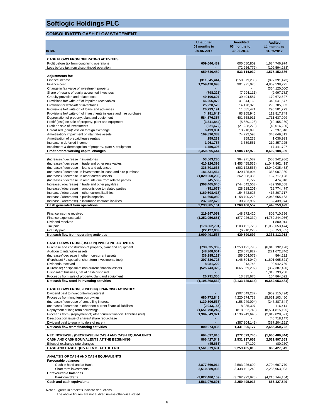### **CONSOLIDATED CASH FLOW STATEMENT**

|                                                                                                | <b>Unaudited</b>              | <b>Unaudited</b>             | <b>Audited</b>              |
|------------------------------------------------------------------------------------------------|-------------------------------|------------------------------|-----------------------------|
|                                                                                                | 03 months to                  | 03 months to                 | 12 months to                |
| In Rs.                                                                                         | 30-06-2017                    | 30-06-2016                   | 31-03-2017                  |
|                                                                                                |                               |                              |                             |
| <b>CASH FLOWS FROM OPERATING ACTIVITIES</b><br>Profit before tax from continuing operations    | 659,646,489                   | 606,080,809                  | 1,684,746,974               |
| Loss before tax from discontinued operation                                                    |                               | (72,966,779)                 | (109, 594, 288)             |
|                                                                                                | 659,646,489                   | 533,114,030                  | 1,575,152,686               |
| <b>Adjustments for:</b>                                                                        |                               |                              |                             |
| Finance income                                                                                 | (311, 545, 444)               | (159, 579, 280)              | (897, 391, 473)             |
| Finance cost                                                                                   | 1,259,478,698                 | 901,971,070                  | 4,809,538,225               |
| Change in fair value of investment property                                                    |                               |                              | (354, 120, 000)             |
| Share of results of equity accounted investees<br>Gratuity provision and related cost          | (798, 228)<br>49,106,607      | (7,994,111)<br>39,494,587    | (9,997,782)<br>170,672,527  |
| Provisions for/ write-off of impaired receivables                                              | 46,266,879                    | 41,344,160                   | 343,541,577                 |
| Provision for write-off of inventories                                                         | 25,220,573                    | 14,178,325                   | 293,705,033                 |
| Provisions for/ write-off of loans and advances                                                | 26,733,191                    | 11,585,471                   | 295,501,773                 |
| Provisions for/ write-off of investments in lease and hire purchase                            | (4, 181, 642)                 | 63,965,946                   | 119,817,749                 |
| Depreciation of property, plant and equipment                                                  | 584,576,357                   | 401,668,911                  | 1,711,637,099               |
| Profit/ (loss) on sale of property, plant and equipment                                        | (3,341,844)                   | (5,680,128)                  | (19, 155, 280)              |
| Profit on sale of investments                                                                  | (621, 672)                    | (21, 238, 279)               | (40,016,280)                |
| Unrealised (gain)/ loss on foreign exchange                                                    | 6,493,881                     | 13,210,895                   | 25,237,048                  |
| Amortisation/ impairment of intangible assets                                                  | 109,890,383                   | 74,722,598                   | 348,649,812                 |
| Amortisation of prepaid lease rentals<br>Increase in deferred income                           | 259,233<br>1,961,787          | 259,233<br>3,689,551         | 1,036,933<br>210,857,225    |
| Impairment & derecognition of property, plant & equipment                                      | 1,750,396                     |                              | 17,441,797                  |
| Profit before working capital changes                                                          | 2,450,895,644                 | 1,904,712,979                | 8,602,108,669               |
|                                                                                                |                               |                              |                             |
| (Increase) / decrease in inventories                                                           | 53,563,236                    | 364,971,582                  | (558, 242, 986)             |
| (Increase) / decrease in trade and other receivables                                           | 410,126,398                   | (1,453,455,535)              | (1,047,862,418)             |
| (Increase) / decrease in loans and advances                                                    | 336,701,633                   | (802, 122, 566)              | (3,049,035,458)             |
| (Increase) / decrease in investments in lease and hire purchase                                | 181,531,464                   | 420,725,904                  | 368,007,230                 |
| (Increase) / decrease in other current assets                                                  | (1,029,060,293)               | 262,808,336                  | 137,717,128                 |
| (Increase) / decrease in amounts due from related parties                                      | (45, 553)                     | 8,727                        | 474,310                     |
| Increase / (decrease) in trade and other payables                                              | (308, 405, 045)               | (744, 642, 563)              | 482,958,568                 |
| Increase / (decrease) in amounts due to related parties                                        | (151, 673)                    | (28, 518, 201)               | (29, 774, 474)              |
| Increase / (decrease) in other current liabilities<br>Increase / (decrease) in public deposits | (160, 608, 418)<br>61,605,089 | 154,343,626<br>1,158,790,276 | 416,807,717                 |
| Increase / (decrease) in insurance contract liabilities                                        | 237,232,679                   | 30,783,992                   | 2,043,655,163<br>82,439,974 |
| Cash generated from operations                                                                 | 2,233,385,161                 | 1,268,406,557                | 7,449,253,423               |
|                                                                                                |                               |                              |                             |
| Finance income received                                                                        | 219,647,051                   | 148,572,420                  | 809,710,656                 |
| Finance expenses paid                                                                          | (1,252,050,881)               | (877, 026, 332)              | (4,752,244,036)             |
| Dividend received                                                                              |                               |                              | 1,800,014                   |
| Tax paid                                                                                       | (178, 362, 791)               | (103, 451, 725)              | (1,088,653,474)             |
| Gratuity paid                                                                                  | (22,127,003)                  | (6,910,223)                  | (88, 753, 665)              |
| Net cash flow from operating activities                                                        | 1,000,491,537                 | 429,590,697                  | 2,331,112,918               |
| CASH FLOWS FROM /(USED IN) INVESTING ACTIVITIES                                                |                               |                              |                             |
| Purchase and construction of property, plant and equipment                                     | (738, 635, 369)               | (1,253,421,796)              | (6,010,132,128)             |
| Addition to intangible assets                                                                  | (48, 308, 051)                | (28, 675, 827)               | (221, 672, 346)             |
| (Increase)/ decrease in other non-current assets                                               | (36, 285, 123)                | (55,004,072)                 | 564,222                     |
| (Purchase) / disposal of short term investments (net)                                          | 207,330,723                   | (146, 804, 042)              | (1,601,965,821)             |
| Dividends received                                                                             | 8,981,229                     | 1,913,745                    | 99,942,789                  |
| (Purchase) / disposal of non-current financial assets                                          | (525, 743, 326)               | (665, 569, 292)              | (387, 387, 490)             |
| Disposal of business, net of cash disposed                                                     |                               |                              | 1,313,733,268               |
| Proceeds from sale of property, plant and equipment                                            | 26,791,355                    | 13,835,670                   | 154,864,022                 |
| Net cash flow used in investing activities                                                     | (1, 105, 868, 562)            | (2, 133, 725, 614)           | (6,652,053,484)             |
|                                                                                                |                               |                              |                             |
| CASH FLOWS FROM / (USED IN) FINANCING ACTIVITIES<br>Dividend paid to non-controlling interest  |                               | (307, 649, 237)              | (959, 115, 494)             |
| Proceeds from long term borrowings                                                             | 680,772,848                   | 4,220,574,738                | 15,661,103,460              |
| (Increase) / decrease of controlling interest                                                  | (130, 506, 537)               | (158, 249, 094)              | (247, 887, 644)             |
| (Increase) / decrease in other non-current financial liabilities                               | (2,943,155)                   | 18,935,307                   | 116,414                     |
| Repayment of long term borrowings                                                              | (1,651,798,242)               | (818, 552, 743)              | (8,551,815,195)             |
| Proceeds from / (repayment of) other current financial liabilities (net)                       | 1,904,549,921                 | (1, 136, 249, 645)           | (2,819,028,521)             |
| Direct cost on issue of shares/ share repurchase                                               |                               |                              | (40, 718, 147)              |
| Dividend paid to equity holders of parent                                                      |                               | (387, 204, 149)              | (387,204,151)               |
| Net cash flow from financing activities                                                        | 800,074,835                   | 1,431,605,177                | 2,655,450,722               |
|                                                                                                |                               |                              |                             |
| NET INCREASE / (DECREASE) IN CASH AND CASH EQUIVALENTS                                         | 694,697,810                   | (272, 529, 740)              | (1,665,489,844)             |
| CASH AND CASH EQUIVALENTS AT THE BEGINNING                                                     | 866,427,549                   | 2,531,997,653                | 2,531,997,653               |
| Effect of exchange rate changes                                                                | (45, 668)                     | 27,100                       | (80, 260)                   |
| CASH AND CASH EQUIVALENTS AT THE END                                                           | 1,561,079,691                 | 2,259,495,013                | 866,427,549                 |
| ANALYSIS OF CASH AND CASH EQUIVALENTS                                                          |                               |                              |                             |
| <b>Favourable balances</b>                                                                     |                               |                              |                             |
| Cash in hand and at Bank                                                                       | 2,877,669,914                 | 2,583,926,690                | 2,794,607,770               |
| Short term investments                                                                         | 2,510,889,936                 | 3,438,491,248                | 2,286,963,933               |
| Unfavourable balances                                                                          |                               |                              |                             |
| <b>Bank overdrafts</b>                                                                         | (3,827,480,159)               | (3,762,922,925)              | (4,215,144,154)             |
| Cash and cash equivalents                                                                      | 1,561,079,691                 | 2,259,495,013                | 866,427,549                 |

Note : Figures in brackets indicate deductions. The above figures are not audited unless otherwise stated.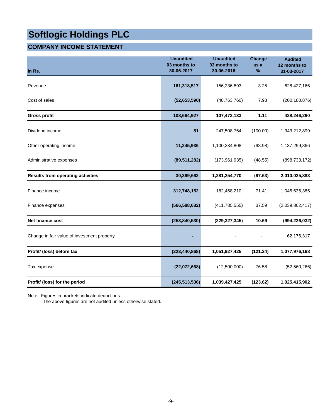### **COMPANY INCOME STATEMENT**

| In Rs.                                      | <b>Unaudited</b><br>03 months to<br>30-06-2017 | <b>Unaudited</b><br>03 months to<br>30-06-2016 | <b>Change</b><br>as a<br>% | <b>Audited</b><br>12 months to<br>31-03-2017 |
|---------------------------------------------|------------------------------------------------|------------------------------------------------|----------------------------|----------------------------------------------|
| Revenue                                     | 161,318,517                                    | 156,236,893                                    | 3.25                       | 628,427,166                                  |
| Cost of sales                               | (52,653,590)                                   | (48, 763, 760)                                 | 7.98                       | (200, 180, 876)                              |
| <b>Gross profit</b>                         | 108,664,927                                    | 107,473,133                                    | 1.11                       | 428,246,290                                  |
| Dividend income                             | 81                                             | 247,508,764                                    | (100.00)                   | 1,343,212,899                                |
| Other operating income                      | 11,245,936                                     | 1,100,234,808                                  | (98.98)                    | 1,137,299,866                                |
| Administrative expenses                     | (89, 511, 282)                                 | (173, 961, 935)                                | (48.55)                    | (898, 733, 172)                              |
| <b>Results from operating activities</b>    | 30,399,662                                     | 1,281,254,770                                  | (97.63)                    | 2,010,025,883                                |
| Finance income                              | 312,748,152                                    | 182,458,210                                    | 71.41                      | 1,045,636,385                                |
| Finance expenses                            | (566, 588, 682)                                | (411, 785, 555)                                | 37.59                      | (2,039,862,417)                              |
| Net finance cost                            | (253, 840, 530)                                | (229, 327, 345)                                | 10.69                      | (994, 226, 032)                              |
| Change in fair value of investment property |                                                |                                                |                            | 62,176,317                                   |
| Profit/ (loss) before tax                   | (223, 440, 868)                                | 1,051,927,425                                  | (121.24)                   | 1,077,976,168                                |
| Tax expense                                 | (22,072,668)                                   | (12,500,000)                                   | 76.58                      | (52, 560, 266)                               |
| Profit/ (loss) for the period               | (245, 513, 536)                                | 1,039,427,425                                  | (123.62)                   | 1,025,415,902                                |

Note : Figures in brackets indicate deductions.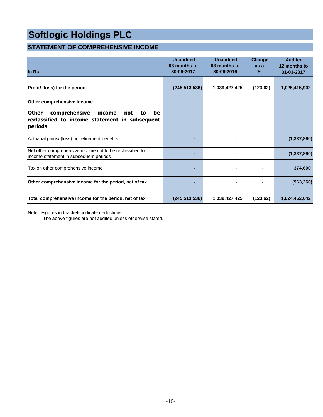### **STATEMENT OF COMPREHENSIVE INCOME**

| In Rs.                                                                                                                  | <b>Unaudited</b><br>03 months to<br>30-06-2017 | <b>Unaudited</b><br>03 months to<br>30-06-2016 | Change<br>as a<br>% | <b>Audited</b><br>12 months to<br>31-03-2017 |
|-------------------------------------------------------------------------------------------------------------------------|------------------------------------------------|------------------------------------------------|---------------------|----------------------------------------------|
| Profit/ (loss) for the period                                                                                           | (245, 513, 536)                                | 1,039,427,425                                  | (123.62)            | 1,025,415,902                                |
| Other comprehensive income                                                                                              |                                                |                                                |                     |                                              |
| <b>Other</b><br>comprehensive<br>be<br>income<br>not<br>to<br>reclassified to income statement in subsequent<br>periods |                                                |                                                |                     |                                              |
| Actuarial gains/ (loss) on retirement benefits                                                                          |                                                |                                                |                     | (1,337,860)                                  |
| Net other comprehensive income not to be reclassified to<br>income statement in subsequent periods                      |                                                |                                                |                     | (1, 337, 860)                                |
| Tax on other comprehensive income                                                                                       |                                                |                                                |                     | 374,600                                      |
| Other comprehensive income for the period, net of tax                                                                   |                                                |                                                |                     | (963, 260)                                   |
| Total comprehensive income for the period, net of tax                                                                   | (245, 513, 536)                                | 1,039,427,425                                  | (123.62)            | 1,024,452,642                                |

Note : Figures in brackets indicate deductions.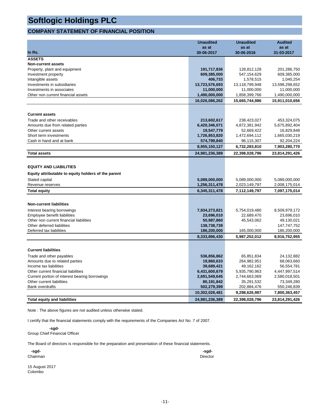#### **COMPANY STATEMENT OF FINANCIAL POSITION**

|                                                     | <b>Unaudited</b>             | <b>Unaudited</b>             | <b>Audited</b>               |
|-----------------------------------------------------|------------------------------|------------------------------|------------------------------|
|                                                     | as at                        | as at                        | as at                        |
| In Rs.                                              | 30-06-2017                   | 30-06-2016                   | 31-03-2017                   |
| <b>ASSETS</b>                                       |                              |                              |                              |
| <b>Non-current assets</b>                           |                              |                              |                              |
| Property, plant and equipment                       | 191,717,836                  | 128,812,128                  | 201,286,750                  |
| Investment property                                 | 609,385,000                  | 547,154,629                  | 609,385,000                  |
| Intangible assets                                   | 406,733                      | 1,578,515                    | 1,040,254                    |
| Investments in subsidiaries                         | 13,723,576,693               | 13,118,799,948               | 13,598,298,652               |
| Investments in associates                           | 11,000,000                   | 11,000,000                   | 11,000,000                   |
| Other non current financial assets                  | 1,490,000,000                | 1,858,399,766                | 1,490,000,000                |
|                                                     | 16,026,086,262               | 15,665,744,986               | 15,911,010,656               |
|                                                     |                              |                              |                              |
| <b>Current assets</b>                               |                              |                              |                              |
| Trade and other receivables                         | 213,602,617                  | 238,423,027                  | 453,324,075                  |
| Amounts due from related parties                    | 6,420,346,071                | 4,872,381,942                | 5,675,892,404                |
| Other current assets                                | 19,547,779                   | 52,669,422                   | 16,829,848                   |
| Short term investments                              | 1,726,853,820                | 1,472,694,112                | 1,665,030,219                |
| Cash in hand and at bank                            | 574,799,840                  | 96,115,307                   | 92,204,224                   |
|                                                     | 8,955,150,127                | 6,732,283,810                | 7,903,280,770                |
| <b>Total assets</b>                                 | 24,981,236,389               | 22,398,028,796               | 23,814,291,426               |
|                                                     |                              |                              |                              |
| <b>EQUITY AND LIABILITIES</b>                       |                              |                              |                              |
| Equity attributable to equity holders of the parent |                              |                              |                              |
| Stated capital                                      | 5,089,000,000                | 5,089,000,000                | 5,089,000,000                |
| Revenue reserves                                    | 1,256,311,478                | 2,023,149,797                | 2,008,175,014                |
| <b>Total equity</b>                                 | 6,345,311,478                | 7,112,149,797                | 7,097,175,014                |
|                                                     |                              |                              |                              |
| <b>Non-current liabilities</b>                      |                              |                              |                              |
| Interest bearing borrowings                         | 7,934,273,821                | 5,754,019,480                | 8,509,979,172                |
| Employee benefit liabilities                        | 23,696,010                   | 22,689,470                   | 23,696,010                   |
| Other non current financial liabilities             | 50,987,860                   | 45,543,062                   | 49,130,021                   |
| Other deferred liabilities                          | 138,738,739                  |                              | 147,747,752                  |
| Deferred tax liabilities                            | 186,200,000<br>8,333,896,430 | 165,000,000<br>5,987,252,012 | 186,200,000<br>8,916,752,955 |
|                                                     |                              |                              |                              |
| <b>Current liabilities</b>                          |                              |                              |                              |
| Trade and other payables                            | 536,856,862                  | 65,851,834                   | 24,132,882                   |
| Amounts due to related parties                      | 19,860,633                   | 264,982,951                  | 68,063,660                   |
| Income tax liabilities                              | 39,689,421                   | 49,162,162                   | 56,554,781                   |
| Other current financial liabilities                 | 6,431,600,679                | 5,935,790,963                | 4,447,997,514                |
| Current portion of interest bearing borrowings      | 2,691,549,645                | 2,744,663,069                | 2,580,018,501                |
| Other current liabilities                           | 80,191,842                   | 35,291,532                   | 73,349,280                   |
| <b>Bank overdrafts</b>                              | 502,279,399                  | 202,884,476                  | 550,246,839                  |
|                                                     | 10,302,028,481               | 9,298,626,987                | 7,800,363,457                |
| <b>Total equity and liabilities</b>                 | 24,981,236,389               | 22,398,028,796               | 23,814,291,426               |

Note : The above figures are not audited unless otherwise stated.

I certify that the financial statements comply with the requirements of the Companies Act No. 7 of 2007.

 **-sgd-**

Group Chief Financial Officer

The Board of directors is responsible for the preparation and presentation of these financial statements.

| -sgd-    | -sgd-    |
|----------|----------|
| Chairman | Director |
|          |          |

15 August 2017 Colombo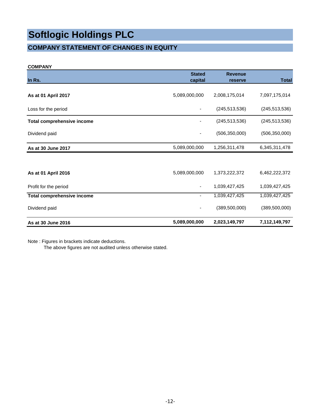### **COMPANY STATEMENT OF CHANGES IN EQUITY**

#### **COMPANY**

| In Rs.                            | <b>Stated</b><br>capital | <b>Revenue</b><br>reserve | <b>Total</b>    |
|-----------------------------------|--------------------------|---------------------------|-----------------|
| As at 01 April 2017               | 5,089,000,000            | 2,008,175,014             | 7,097,175,014   |
| Loss for the period               |                          | (245, 513, 536)           | (245, 513, 536) |
| <b>Total comprehensive income</b> |                          | (245, 513, 536)           | (245, 513, 536) |
| Dividend paid                     |                          | (506, 350, 000)           | (506, 350, 000) |
| As at 30 June 2017                | 5,089,000,000            | 1,256,311,478             | 6,345,311,478   |
|                                   |                          |                           |                 |
| As at 01 April 2016               | 5,089,000,000            | 1,373,222,372             | 6,462,222,372   |
| Profit for the period             |                          | 1,039,427,425             | 1,039,427,425   |
| <b>Total comprehensive income</b> |                          | 1,039,427,425             | 1,039,427,425   |
| Dividend paid                     |                          | (389, 500, 000)           | (389, 500, 000) |
| As at 30 June 2016                | 5,089,000,000            | 2,023,149,797             | 7,112,149,797   |

Note : Figures in brackets indicate deductions.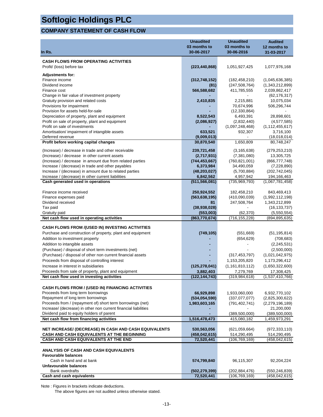### **COMPANY STATEMENT OF CASH FLOW**

|                                                                                                               | <b>Unaudited</b>            | <b>Unaudited</b>                   | <b>Audited</b>                   |
|---------------------------------------------------------------------------------------------------------------|-----------------------------|------------------------------------|----------------------------------|
|                                                                                                               | 03 months to                | 03 months to                       | 12 months to                     |
| In Rs.                                                                                                        | 30-06-2017                  | 30-06-2016                         | 31-03-2017                       |
| <b>CASH FLOWS FROM OPERATING ACTIVITIES</b>                                                                   |                             |                                    |                                  |
| Profit/ (loss) before tax                                                                                     | (223, 440, 868)             | 1,051,927,425                      | 1,077,976,168                    |
|                                                                                                               |                             |                                    |                                  |
| <b>Adjustments for:</b><br>Finance income                                                                     |                             |                                    | (1,045,636,385)                  |
| Dividend income                                                                                               | (312, 748, 152)<br>(81)     | (182, 458, 210)<br>(247, 508, 764) | (1,343,212,899)                  |
| Finance cost                                                                                                  | 566,588,682                 | 411,785,555                        | 2,039,862,417                    |
| Change in fair value of investment property                                                                   |                             |                                    | (62, 176, 317)                   |
| Gratuity provision and related costs                                                                          | 2,410,835                   | 2,215,881                          | 10,075,034                       |
| Provisions for impairment                                                                                     |                             | 70,674,996                         | 506,296,744                      |
| Provision for assets held-for-sale                                                                            |                             | (12, 330, 864)                     |                                  |
| Depreciation of property, plant and equipment                                                                 | 8,522,543                   | 6,493,391                          | 28,898,601                       |
| Profit on sale of property, plant and equipment                                                               | (2,086,927)                 | (2,832,440)                        | (4, 577, 585)                    |
| Profit on sale of investments                                                                                 |                             | (1,097,248,468)                    | (1, 112, 455, 617)               |
| Amortisation/ impairment of intangible assets                                                                 | 633,521                     | 932,307                            | 3,716,100                        |
| Deferred revenue<br>Profit before working capital changes                                                     | (9,009,013)<br>30,870,540   | 1,650,809                          | (18,018,014)<br>80,748,247       |
|                                                                                                               |                             |                                    |                                  |
| (Increase) / decrease in trade and other receivable                                                           | 239,721,458                 | (3, 165, 638)                      | (279, 253, 210)                  |
| (Increase) / decrease in other current assets                                                                 | (2,717,931)                 | (7,381,080)                        | 13,305,725                       |
| (Increase) / decrease in amount due from related parties                                                      | (744, 453, 667)             | (760, 821, 001)                    | (866, 777, 748)                  |
| Increase / (decrease) in trade and other payables<br>Increase / (decrease) in amount due to related parties   | 6,373,984<br>(48, 203, 027) | 34,490,059<br>(5,700,884)          | (7, 228, 890)<br>(202, 742, 045) |
| Increase / (decrease) in other current liabilities                                                            | 6,842,562                   | 4,957,942                          | 194,166,463                      |
| Cash generated used in operations                                                                             | (511, 566, 081)             | (735, 969, 793)                    | (1,067,781,458)                  |
|                                                                                                               |                             |                                    |                                  |
| Finance income received                                                                                       | 250,924,552                 | 182,458,210                        | 843,469,413                      |
| Finance expenses paid                                                                                         | (563, 638, 195)             | (410,090,039)                      | (1,992,112,198)                  |
| Dividend received                                                                                             | 81                          | 247,508,764                        | 1,343,212,899                    |
| Tax paid<br>Gratuity paid                                                                                     | (38,938,028)<br>(553,003)   | (62, 370)                          | (16, 133, 737)<br>(5,550,554)    |
| Net cash flow used in operating activities                                                                    | (863,770,674)               | (716, 155, 228)                    | (894, 895, 635)                  |
|                                                                                                               |                             |                                    |                                  |
| <b>CASH FLOWS FROM /(USED IN) INVESTING ACTIVITIES</b>                                                        |                             |                                    |                                  |
| Purchase and construction of property, plant and equipment                                                    | (749, 105)                  | (551,669)                          | (51, 195, 814)                   |
| Addition to investment property                                                                               |                             | (654, 629)                         | (708, 683)                       |
| Addition to intangible assets                                                                                 |                             |                                    | (2, 245, 531)                    |
| (Purchase) / disposal of short term investments (net)                                                         |                             |                                    | (2,500,000)                      |
| (Purchase) / disposal of other non current financial assets<br>Proceeds from disposal of controlling interest |                             | (317, 453, 797)<br>1,153,205,820   | (1,021,042,975)<br>1,173,296,412 |
| Increase in interest in subsidiaries                                                                          | (125, 278, 041)             | (1, 161, 810, 112)                 | (1,650,322,600)                  |
| Proceeds from sale of property, plant and equipment                                                           | 3,882,403                   | 7,279,769                          | 17,308,425                       |
| Net cash flow used in investing activities                                                                    | (122, 144, 743)             | (319, 984, 618)                    | (1,537,410,766)                  |
|                                                                                                               |                             |                                    |                                  |
| <b>CASH FLOWS FROM / (USED IN) FINANCING ACTIVITIES</b>                                                       |                             |                                    |                                  |
| Proceeds from long term borrowings                                                                            | 66,929,898                  | 1,933,060,000                      | 6,932,770,102                    |
| Repayment of long term borrowings                                                                             | (534, 054, 590)             | (337, 077, 077)                    | (2,825,300,622)                  |
| Proceeds from / (repayment of) short term borrowings (net)                                                    | 1,983,603,165               | (791, 402, 741)                    | (2,279,196,189)                  |
| Increase/ (decrease) in other non current financial liabilities                                               |                             |                                    | 21,200,000                       |
| Dividend paid to equity holders of parent<br>Net cash flow from financing activities                          | 1,516,478,473               | (389, 500, 000)<br>415,080,182     | (389, 500, 000)<br>1,459,973,291 |
|                                                                                                               |                             |                                    |                                  |
| NET INCREASE/ (DECREASE) IN CASH AND CASH EQUIVALENTS                                                         | 530,563,056                 | (621,059,664)                      | (972, 333, 110)                  |
| CASH AND CASH EQUIVALENTS AT THE BEGINNING                                                                    | (458,042,615)               | 514,290,495                        | 514,290,495                      |
| CASH AND CASH EQUIVALENTS AT THE END                                                                          | 72,520,441                  | (106, 769, 169)                    | (458, 042, 615)                  |
| <b>ANALYSIS OF CASH AND CASH EQUIVALENTS</b>                                                                  |                             |                                    |                                  |
| <b>Favourable balances</b>                                                                                    |                             |                                    |                                  |
| Cash in hand and at bank                                                                                      | 574,799,840                 | 96,115,307                         | 92,204,224                       |
| Unfavourable balances                                                                                         |                             |                                    |                                  |
| Bank overdrafts                                                                                               | (502, 279, 399)             | (202, 884, 476)                    | (550,246,839)                    |
| Cash and cash equivalents                                                                                     | 72,520,441                  | (106, 769, 169)                    | (458, 042, 615)                  |

Note : Figures in brackets indicate deductions.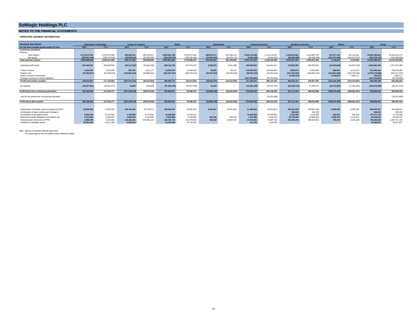#### **NOTES TO THE FINANCIAL STATEMENTS**

**OPERATING SEGMENT INFORMATION**

| <b>REVENUE AND PROFIT</b>                         |                | <b>Information Technology</b> | Leisure & Property |                | Retail          |                 |                | <b>Automobiles</b> |                | <b>Financial Services</b> |                 | <b>Healthcare Services</b> | Others          |                |                 | Group           |
|---------------------------------------------------|----------------|-------------------------------|--------------------|----------------|-----------------|-----------------|----------------|--------------------|----------------|---------------------------|-----------------|----------------------------|-----------------|----------------|-----------------|-----------------|
| For the three months period ended 30 June         | 2017           | 2016                          | 2017               | 2016           | 2017            | 2016            | 2017           | 2016               | 2017           | 2016                      | 2017            | 2016                       | 2017            | 2016           | 2017            | 2016            |
| <b>Continuing operations</b>                      |                |                               |                    |                |                 |                 |                |                    |                |                           |                 |                            |                 |                |                 |                 |
| Revenue                                           |                |                               |                    |                |                 |                 |                |                    |                |                           |                 |                            |                 |                |                 |                 |
| Total revenue                                     | 4,173,572,752  | 4.726.527.899                 | 450.091.321        | 199.103.547    | 5.089.281.199   | 4.925.972.091   | 469.976.271    | 467.490.176        | 2,534,179,308  | 2.131.278.597             | 3,103,267,801   | 2,420,897,782              | 167,477,192     | 163.145.181    | 15.987.845.844  | 15.034.415.273  |
| Inter group                                       | (290.604.744)  | (206.710.043)                 | (19.953.815        | (39.503.658)   | (239,429,579    | (180.105.664)   | (16,526,452    | (86.455.170)       | (2,904,005)    | (4.852.632)               | (89,580,599     | (85.696.398)               | (165, 757, 548) | (158.672.317)  | (824, 756, 742) | (761, 995, 882) |
| <b>Total external revenue</b>                     | 3,882,968,008  | 4.519.817.856                 | 430,137,506        | 159.599.889    | 4.849.851.620   | 4.745.866.427   | 453,449,819    | 381,035,006        | 2,531,275,303  | 2.126.425.965             | 3,013,687,202   | 2.335.201.384              | 1.719.644       | 4.472.864      | 15.163.089.102  | 14,272,419,391  |
|                                                   |                |                               |                    |                |                 |                 |                |                    |                |                           |                 |                            |                 |                |                 |                 |
| Operating profit/ (loss)                          | 212,165,001    | 260,908,828                   | (92, 417, 522)     | (26, 846, 209) | 699.412.733     | 427.974.227     | 5.329.470      | 9,591,889          | 330,893,802    | 316, 322, 151             | 712.925.381     | 428.308.623                | (24, 303, 669)  | (44, 997, 029) | 1,844,005,196   | 1,371,262,480   |
| Finance income                                    | 6,356,180      | 4.024.900                     | 832,705            | 1.812.177      | 23.591.576      | 14,244,590      | 38,281         | 25.521             | 275.902.505    | 129,006.666               | 3.963.672       | 6,302,869                  | 860.525         | 4,162,557      | 311.545.444     | 159,579,280     |
| Finance cost                                      | (70, 302, 874) | (87.806.878)                  | (135, 891, 944)    | (33.885.822)   | (432, 351, 537) | (293, 745, 012) | (24, 197, 542) | (29.640.403)       | (58, 352, 423) | (25, 352, 344)            | (221, 520, 532) | (185, 804, 105)            | (316, 861, 846) | (245.736.506)  | (1.259.478.698) | (901, 971, 070) |
| Share of results of associates                    |                |                               |                    |                |                 |                 |                |                    |                |                           | (5.350.414)     |                            | 6.148.642       | 7.994.111      | 798.228         | 7.994.111       |
| Change in insurance contract liabilities          |                |                               |                    |                |                 |                 |                |                    | (237.223.681)  | (30.783.992)              |                 |                            |                 |                | (237.223.681)   | (30.783.992)    |
| Profit/ (loss) before taxation                    | 148.218.307    | 177,126,850                   | (227,476,761       | (58.919.854)   | 290.652.772     | 148.473.805     | (18.829.791    | (20.022.993)       | 311.220.203    | 389.192.481               | 490.018.107     | 248,807,387                | (334.156.348)   | (278.576.867)  | 659,646,489     | 606.080.809     |
|                                                   |                |                               |                    |                |                 |                 |                |                    |                |                           |                 |                            |                 |                |                 |                 |
| Tax expense                                       | (42,027,651)   | (49.535.373)                  | 16,483             | (759.669)      | (67.852.105)    | (55.007.448)    | 21.643         |                    | (34, 560, 798) | (30.047.157)              | (62,900,574)    | 47.206.571                 | (22, 713, 961)  | (11,004,400)   | (230, 016, 963) | (99, 147, 476)  |
|                                                   |                |                               |                    |                |                 |                 |                |                    |                |                           |                 |                            |                 |                |                 |                 |
| Profit/ (loss) from continuing operations         | 106.190.656    | 127.591.477                   | (227,460,278       | (59.679.523)   | 222,800,667     | 93.466.357      | (18.808.148)   | (20.022.993)       | 276.659.405    | 359.145.324               | 427.117.533     | 296.013.958                | (356,870,309    | (289.581.267)  | 429.629.526     | 506,933,333     |
| Loss for the period from discontinued operation   |                | $\sim$                        |                    |                |                 |                 |                |                    |                | (78, 531, 890)            |                 |                            |                 |                | $\sim$          | (78, 531, 890)  |
|                                                   |                |                               |                    |                |                 |                 |                |                    |                |                           |                 |                            |                 |                |                 |                 |
| Profit/ (loss) after taxation                     | 106.190.656    | 127.591.477                   | (227,460,278)      | (59.679.523)   | 222.800.667     | 93.466.357      | (18.808.148)   | (20.022.993)       | 276.659.405    | 280.613.434               | 427.117.533     | 296.013.958                | (356,870,309    | (289.581.267)  | 429.629.526     | 428.401.443     |
|                                                   |                |                               |                    |                |                 |                 |                |                    |                |                           |                 |                            |                 |                |                 |                 |
|                                                   |                |                               |                    |                |                 |                 |                |                    |                |                           |                 |                            |                 |                |                 |                 |
| Depreciation of property, plant & equipment (PPE) | 18,900,905     | 17.903.091                    | 155,700,046        | 44.710.571     | 105.540.437     | 90,487,076      | 9.103.457      | 20.481.558         | 41.489.264     | 35.933.975                | 245.251.943     | 185,597,440                | 8.590.305       | 6.555.200      | 584.576.357     | 401.668.911     |
| Amortisation of lease rentals paid in advance     | . .            | . .                           | . .                | . .            |                 |                 |                | . .                | . .            | $\sim$                    | 259,233         | 259,233                    |                 | $\sim$         | 259,233         | 259.233         |
| Amortisation of intangible assets                 | 9.036.138      | 15,763,994                    | 4.762.690          | 3,775,058      | 16,256,590      | 15.020.917      |                |                    | 74.452.308     | 37.099.854                | 2.130.469       | 2.130.469                  | 633.521         | 932.306        | 107.271.716     | 74,722,598      |
| Retirement benefit obligations and related cost   | 5.213.436      | 5.393.422                     | 4.682.529          | 1.510.590      | 8.230.898       | 8.730.982       | 525.139        | 559,703            | 7.213.498      | 6.169.760                 | 20.755.955      | 14,888,483                 | 2.485.152       | 2.241.647      | 49.106.607      | 39.494.587      |
| Purchase and construction of PPE                  | 5,886,396      | 5.151.882                     | 116.250.053        | 675,905.163    | 242.442.733     | 122.976.844     | 993.642        | 13.087.067         | 37.873.691     | 72.997.103                | 334,439,746     | 399.202.902                | 749,108         | 8.416.169      | 738.635.369     | 1,297,737,130   |
| Additions to intangible assets                    | 23.291.883     | 10.811.268                    | 9.363.540          |                | 15,335,484      | 16,758,269      |                |                    | 317.144        | 1,106,290                 |                 |                            |                 |                | 48.308.051      | 28.675.827      |

Note : Figures in brackets indicate deductions. The above figures are not audited unless otherwise stated.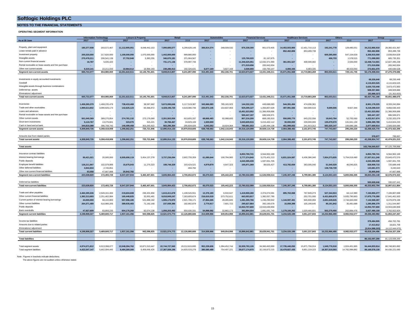**NOTES TO THE FINANCIAL STATEMENTS**

#### **OPERATING SEGMENT INFORMATION**

|                                                     |                             | <b>Information Technology</b><br><b>Leisure &amp; Property</b> |                | Retai          |                                 | <b>Automobiles</b><br><b>Financial Services</b> |             | <b>Healthcare Services</b> |                               | <b>Others</b>  |                | Group          |                               |                |                 |                |
|-----------------------------------------------------|-----------------------------|----------------------------------------------------------------|----------------|----------------|---------------------------------|-------------------------------------------------|-------------|----------------------------|-------------------------------|----------------|----------------|----------------|-------------------------------|----------------|-----------------|----------------|
| As at 30 June                                       | 2017                        | 2016                                                           | 2017           | 2016           | 2017                            | 2016                                            | 2017        | 2016                       | 2017                          | 2016           | 2017           | 2016           | 2017                          | 2016           | 2017            | 2016           |
|                                                     |                             |                                                                |                |                |                                 |                                                 |             |                            |                               |                |                |                |                               |                |                 |                |
| Property, plant and equipment                       | 180.377.938                 | 203.572.467                                                    | 11.112.905.051 | 9.048.442.153  | 7.090.685.577                   | 6.299.628.146                                   | 306.814.374 | 348,509,532                | 876.338.300                   | 901.073.405    | 14.453.503.900 | 12,451,710,113 | 192.241.778                   | 129.485.551    | 34.212.866.918  | 29,382,421,367 |
| Lease rentals paid in advance                       |                             |                                                                |                |                |                                 |                                                 |             |                            |                               |                | 852.462.806    | 853.499.739    |                               |                | 852.462.806     | 853.499.739    |
| Investment property                                 | 205,530,000                 | 217,620,000                                                    | 1,100,000,000  | 1,075,000,000  | 1,442,000,000                   | 999,880,000                                     |             |                            | ×                             |                |                |                | 609,385,000                   | 547,154,629    | 3,356,915,000   | 2,839,654,629  |
| Intangible assets                                   |                             |                                                                |                |                |                                 |                                                 |             |                            |                               |                |                |                |                               |                |                 |                |
|                                                     | 270,478,211                 | 206,541,139                                                    | 27,752,948     | 5,383,255      | 346,670,181                     | 371,064,567                                     |             |                            | 125,790,020                   | 81, 167, 875   |                |                | 406,733                       | 1,578,515      | 771,098,093     | 665,735,35     |
| Non-current financial assets                        | 16,787                      | 5,035,420                                                      |                |                | 731,171,136                     | 378,997,746                                     |             |                            | 11,346,525,051                | 12,032,371,990 | 361,001,527    | 408,590,082    |                               | 2,500,000      | 12,438,714,501  | 12,827,495,238 |
| Rental receivable on lease assets and hire purchase |                             |                                                                |                |                |                                 |                                                 |             |                            | 271,519,656                   | 265,942,834    |                |                |                               |                | 271,519,656     | 265,942,834    |
| Other non-current assets                            | 9.319.141                   | 22.211.043                                                     | 10.964.512     | 16.966.193     | 238.286.913                     | 192.326.631                                     | 6.677.169   | 3.827.169                  | 3.500.000                     | 150.793.107    | 4.083.335      | 6.083.335      |                               | 48.423.050     | 272,831,070     | 440.630.528    |
| Segment non-current assets                          | 665,722,077                 | 654.980.069                                                    | 12,251,622,511 | 10,145,791,601 | 9.848.813.807                   | 8.241.897.090                                   | 313,491,543 | 352,336,701                | 12.623.673.027                | 13,431,349,211 | 15.671.051.568 | 13,719,883,269 | 802,033,511                   | 729,141,745    | 52,176,408,044  | 47,275,379,686 |
|                                                     |                             |                                                                |                |                |                                 |                                                 |             |                            |                               |                |                |                |                               |                |                 |                |
| Investments in equity accounted investments         |                             |                                                                |                |                |                                 |                                                 |             |                            |                               |                |                |                |                               |                | 69,326,640      | 68,235,448     |
| Goodwill                                            |                             |                                                                |                |                |                                 |                                                 |             |                            |                               |                |                |                |                               |                | 4.115.823.525   | 4,115,823,525  |
| Intangible assets through business combinations     |                             |                                                                |                |                |                                 |                                                 |             |                            |                               |                |                |                |                               |                | 3,620,733,448   | 3,873,472,950  |
| Deferred tax assets                                 |                             |                                                                |                |                |                                 |                                                 |             |                            |                               |                |                |                |                               |                |                 |                |
|                                                     |                             |                                                                |                |                |                                 |                                                 |             |                            |                               |                |                |                |                               |                | 508,357,860     | 349,929,886    |
| Eliminations/ adjustment                            |                             |                                                                |                |                |                                 |                                                 |             |                            |                               |                |                |                |                               |                | (52.888.327)    | (31, 352, 820) |
| <b>Total non-current assets</b>                     | 665,722,077                 | 654,980,069                                                    | 12,251,622,511 | 10,145,791,601 | 9,848,813,807                   | 8,241,897,090                                   | 313,491,543 | 352,336,701                | 12,623,673,027                | 13,431,349,211 | 15,671,051,568 | 13,719,883,269 | 802,033,511                   |                | 60,437,761,190  | 55,651,488,675 |
|                                                     |                             |                                                                |                |                |                                 |                                                 |             |                            |                               |                |                |                |                               |                |                 |                |
| Inventories                                         | 1.458.265.379               | 1.468.235.478                                                  | 738.433.468    | 38.597.662     | 5.672.090.646                   | 5.117.519.387                                   | 343.666.083 | 785.165.923                | 144.332.155                   | 449.688.083    | 544.391.494    | 474.036.361    |                               |                | 8.901.179.225   | 8.333.242.894  |
| Trade and other receivables                         | 1,999,613,832               | 3,090,926,173                                                  | 142,625,123    | 60,366,972     | 4,428,196,720                   | 4,619,080,746                                   | 220,872,145 | 154,837,063                | 929,299,127                   | 1,356,807,629  | 487,991,566    | 564,690,516    | 9,699,506                     | 9,927,344      | 8,218,298,019   | 9,856,636,443  |
| Loans and advances                                  |                             |                                                                |                |                |                                 |                                                 |             |                            | 13,451,523,952                | 11,366,959,896 |                |                |                               |                | 13,451,523,952  | 11,366,959,896 |
| Rental receivable on lease assets and hire purchase |                             |                                                                |                |                |                                 |                                                 |             |                            | 500,447,197                   | 686,506,971    | ×.             |                |                               |                | 500,447,197     | 686,506,97     |
| Other current assets                                | 501,040,369                 | 389,270,954                                                    |                |                |                                 | 913,655,337                                     | 68.666.483  | 92,088,693                 |                               |                |                |                | 19.643.784                    |                | 4,422,917,674   | 3,232,325,079  |
| Short term investments                              |                             |                                                                | 274,781,132    | 273,176,069    | 2,201,563,936                   |                                                 |             |                            | 807,216,200                   | 868,195,910    | 550,005,770    | 643,232,556    |                               | 52,705,560     |                 |                |
|                                                     | 5.110.767                   | 13.276.661                                                     | 323,070        | 315,221        | 30.766.467                      | 24,829,109                                      | 1.500.000   |                            | 3.693.609.915                 | 5,015,462,112  | 30,000,000     | 228.000.000    | 135.079.570                   | 131.941.130    | 3.896.389.789   | 5,413,824,233  |
| Cash in hand and at hank                            | 344.819.388                 | 396.708.742                                                    | 140.499.458    | 353.265.922    | 563.296.364                     | 295.834.026                                     | 4.043.352   | 10.024.364                 | 789,691,553                   | 1.185.494.138  | 451,999,652    | 241.913.312    | 583.320.147                   | 100.686.186    | 2,877,669,914   | 2.583.926.690  |
| <b>Segment current assets</b>                       | 4,308,849,735               | 5,358,418,008                                                  | 1,296,662,251  | 725,721,846    | 12,895,914,133                  | 10,970,918,605                                  | 638,748,063 | 1,042,116,043              | 20,316,120,099                | 20,929,114,739 | 2,064,388,482  | 2,151,872,745  | 747,743,007                   | 295,260,220    | 42,268,425,770  | 41,473,422,206 |
|                                                     |                             |                                                                |                |                |                                 |                                                 |             |                            |                               |                |                |                |                               |                |                 |                |
| Amounts due from related parties                    |                             |                                                                |                |                |                                 |                                                 |             |                            |                               |                |                |                |                               |                | 378.977         | 799.007        |
| <b>Total current assets</b>                         | 4,308,849,735               | 5,358,418,008                                                  | 1,296,662,251  | 725,721,846    | 12,895,914,133                  | 10,970,918,605                                  | 638,748,063 | 1,042,116,043              | 20,316,120,099                | 20,929,114,739 | 2,064,388,482  | 2,151,872,745  | 747,743,007                   | 295,260,220    | 42,268,804,747  | 41,474,221,213 |
|                                                     |                             |                                                                |                |                |                                 |                                                 |             |                            |                               |                |                |                |                               |                |                 |                |
| <b>Total assets</b>                                 |                             |                                                                |                |                |                                 |                                                 |             |                            |                               |                |                |                |                               |                | 102,706,565,937 | 97.125.709.888 |
|                                                     |                             |                                                                |                |                |                                 |                                                 |             |                            |                               |                |                |                |                               |                |                 |                |
| Insurance contract liabilities                      |                             |                                                                |                |                |                                 |                                                 |             |                            | 6.853.790.741                 | 6.564.902.169  |                |                |                               |                | 6.853.790.741   | 6.564.902.169  |
| Interest bearing borrowings                         | 90,421,021                  | 20,000,000                                                     | 6,505,690,119  | 5,454,137,278  | 3,737,236,094                   | 2,602,733,359                                   | 61,090,644  | 100,794,900                | 2,777,374,940                 | 3,275,401,213  | 6,831,524,587  | 6,436,386,340  | 7,934,273,835                 | 5,754,019,480  | 27,937,611,240  | 23,643,472,570 |
| Public deposits                                     |                             |                                                                |                |                |                                 |                                                 |             |                            | 4,043,395,039                 | 1,597,001,705  |                |                |                               |                | 4,043,395,039   | 1,597,001,705  |
| Employee benefit liabilities                        | 128,211,907                 | 102,079,989                                                    | 15,675,043     | 11,270,323     | 108,748,329                     | 103,424,521                                     | 4,979,879   | 4,647,323                  | 105,971,369                   | 89,625,427     | 413,782,659    | 363,595,040    | 51,540,529                    | 46,046,825     | 828,909,715     | 720,689,448    |
| Other deferred liabilities                          |                             |                                                                |                |                |                                 |                                                 |             |                            |                               |                |                |                |                               |                |                 |                |
|                                                     | 4.942.834                   | 2,745,851                                                      |                |                |                                 | 494,792                                         |             |                            |                               |                |                |                | 138,738,739                   |                | 143.681.573     | 3,240,643      |
| Other non-current financial liabilities             | 63,058                      | 47.667.888                                                     | 25.842.782     |                |                                 |                                                 |             |                            |                               |                |                |                |                               |                | 25.905.840      | 47.667.888     |
| <b>Segment non-current liabilities</b>              | 223.638.820                 | 172,493,728                                                    | 6,547,207,944  | 5.465.407.601  | 3.845.984.423                   | 2.706.652.672                                   | 66.070.523  | 105.442.223                | 13,780,532,089                | 11.526.930.514 | 7,245,307,246  | 6,799,981,380  | 8.124.553.103                 | 5.800.066.305  | 39.833.294.148  | 32,576,974,423 |
|                                                     |                             |                                                                |                |                |                                 |                                                 |             |                            |                               |                |                |                |                               |                |                 |                |
| Deferred tax liabilities                            |                             |                                                                |                |                |                                 |                                                 |             |                            |                               |                |                |                |                               |                | 500 608 646     | 330.637.441    |
| <b>Total non-current liabilities</b>                | 223.638.820                 | 172.493.728                                                    | 6.547.207.944  | 5.465.407.601  | 3.845.984.423                   | 2.706.652.672                                   | 66.070.523  | 105.442.223                | 13,780,532,089                | 11.526.930.514 | 7.245.307.246  | 6.799.981.380  | 8.124.553.103                 | 5.800.066.305  | 40.333.902.794  | 32.907.611.864 |
|                                                     |                             |                                                                |                |                |                                 |                                                 |             |                            |                               |                |                |                |                               |                |                 |                |
| Trade and other payables                            | 2,460,395,536               | 2,549,161,400                                                  | 219,604,608    | 236,431,856    | 1,615,411,678                   | 1,108,545,551                                   | 12,376,183  | 6,532,647                  | 1,419,959,280                 | 2,374,074,591  | 895,763,068    | 767,949,273    | 527,344,924                   | 64,112,380     | 7,150,855,277   | 7,106,807,698  |
| Other current financial liabilities                 | 1,382,213,693               | 2,251,462,984                                                  | 165.448.825    | 32,002,481     | 9.016.849.247                   | 7,263,693,674                                   | 216.610.019 | 573,752,611                | 663.053.817                   | 1,382,057,790  |                | 202,701,000    | 6,431,600,679                 | 5,935,790,963  | 17,875,776,280  | 17,641,461,503 |
| Current portion of interest bearing borrowings      | 44.000.000                  | 68,102,893                                                     | 557,996,180    | 521,898,182    | 1.595.170.970                   | 2,921,708,171                                   | 27,854,265  | 28,285,845                 | 1,081,399,766                 | 1,246,290,942  | 1.144.597.461  | 945,930,094    | 2,691,549,645                 | 2,744,663,069  | 7.142.568.287   | 8,476,879,196  |
| Other current liabilities                           | 264.371.489                 | 516.980.205                                                    | 389.935.483    | 71.192.168     | 237.939.386                     | 182.902.879                                     | 2.770.917   | 7,601,722                  | 295.627.864                   | 392.195.679    | 15.059.398     | 105,190,645    | 80,191,842                    | 35,481,689     | 1.285.896.379   | 1,311,544,987  |
| Public deposits                                     |                             |                                                                |                |                |                                 |                                                 |             |                            | 12.053.707.600                | 13.553.630.959 |                |                |                               |                | 12.053.707.600  | 13.553.630.959 |
| <b>Bank overdrafts</b>                              |                             |                                                                |                |                |                                 |                                                 |             |                            |                               |                |                |                |                               |                |                 |                |
|                                                     | 47,927,609<br>4.198.908.327 | 83 893 235                                                     | 604,176,260    | 82.074.138     | 1,056,203,492<br>13,521,574,773 | 650.030.331                                     | 54.898.582  | 32.882.173                 | 382.894.554<br>15,896,642,881 | 1.681.691.740  | 1,179,100,262  | 1.029.466.831  | 502,279,400<br>10.232.966.490 | 202.884.476    | 3,827,480,159   | 3.762.922.924  |
| <b>Segment current liabilities</b>                  |                             | 5.469.600.717                                                  | 1,937,161,356  | 943.598.825    |                                 | 12,126,880,606                                  | 314,509,966 | 649,054,998                |                               | 20,629,941,701 | 3,234,520,189  | 3,051,237,843  |                               | 8,982,932,577  | 49,336,283,982  | 51,853,247,267 |
|                                                     |                             |                                                                |                |                |                                 |                                                 |             |                            |                               |                |                |                |                               |                |                 |                |
| Income tax liabilities                              |                             |                                                                |                |                |                                 |                                                 |             |                            |                               |                |                |                |                               |                | 379,484,905     | 456,702,781    |
| Amounts due to related parties                      |                             |                                                                |                |                |                                 |                                                 |             |                            |                               |                |                |                |                               |                | 17,413,812      | 18,821,758     |
| Fliminations/ adjustment                            |                             |                                                                |                |                |                                 |                                                 |             |                            |                               |                |                |                |                               |                | (3,914,988,203) | (4,112,444,470 |
| <b>Total current liabilities</b>                    | 4.198.908.327               | 5,469,600,717                                                  | 1,937,161,356  | 943.598.825    | 13,521,574,773                  | 12,126,880,606                                  | 314,509,966 | 649,054,998                | 15,896,642,881                | 20,629,941,701 | 3,234,520,189  | 3,051,237,843  | 10,232,966,490                | 8,982,932,577  | 45,818,194,496  | 48,216,327,336 |
|                                                     |                             |                                                                |                |                |                                 |                                                 |             |                            |                               |                |                |                |                               |                |                 |                |
| <b>Total liabilities</b>                            |                             |                                                                |                |                |                                 |                                                 |             |                            |                               |                |                |                |                               |                | 86.152.097.290  | 81.123.939.200 |
|                                                     |                             |                                                                |                |                |                                 |                                                 |             |                            |                               |                |                |                |                               |                |                 |                |
| Total segment assets                                | 4.974.571.812               | 6.013.398.077                                                  | 13.548.284.762 | 10,871,513,447 | 22.744.727.940                  | 19,212,815,695                                  | 952.239.606 | 1.394.452.744              | 32.939.793.126                | 34,360,463,950 | 17.735.440.050 | 15,871,756,014 | 1.549.776.518                 | 1.024.401.965  | 94.444.833.814  | 88,748,801,892 |
| Total segment liabilities                           | 4.422.547.147               | 5.642.094.445                                                  | 8.484.369.300  | 6.409.006.426  | 17.367.559.196                  | 14.833.533.278                                  | 380.580.489 | 754.497.221                | 29.677.174.970                | 32.156.872.215 | 10.479.827.435 | 9,851,219,223  | 18.357.519.593                | 14.782.998.882 | 89.169.578.130  | 84,430,221,690 |
|                                                     |                             |                                                                |                |                |                                 |                                                 |             |                            |                               |                |                |                |                               |                |                 |                |

Note : Figures in brackets indicate deductions.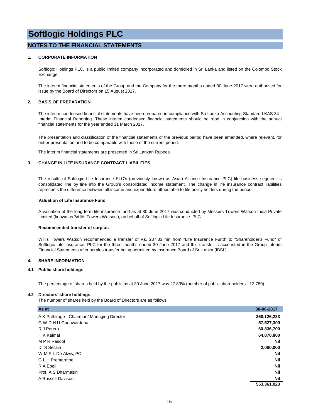#### **NOTES TO THE FINANCIAL STATEMENTS**

#### **1. CORPORATE INFORMATION**

Softlogic Holdings PLC, is a public limited company incorporated and domiciled in Sri Lanka and listed on the Colombo Stock Exchange.

The interim financial statements of the Group and the Company for the three months ended 30 June 2017 were authorised for issue by the Board of Directors on 15 August 2017.

#### **2. BASIS OF PREPARATION**

The interim condensed financial statements have been prepared in compliance with Sri Lanka Accounting Standard LKAS 34 - Interim Financial Reporting. These interim condensed financial statements should be read in conjunction with the annual financial statements for the year ended 31 March 2017.

The presentation and classification of the financial statements of the previous period have been amended, where relevant, for better presentation and to be comparable with those of the current period.

The interim financial statements are presented in Sri Lankan Rupees.

#### **3. CHANGE IN LIFE INSURANCE CONTRACT LIABILITIES**

The results of Softlogic Life Insurance PLC's (previously known as Asian Alliance Insurance PLC) life business segment is consolidated line by line into the Group's consolidated income statement. The change in life insurance contract liabilities represents the difference between all income and expenditure attributable to life policy holders during the period.

#### **Valuation of Life Insurance Fund**

A valuation of the long term life insurance fund as at 30 June 2017 was conducted by Messers Towers Watson India Private Limited (known as 'Willis Towers Watson'), on behalf of Softlogic Life Insurance PLC.

#### **Recommended transfer of surplus**

Willis Towers Watson recommended a transfer of Rs. 237.33 mn from "Life Insurance Fund" to "Shareholder's Fund" of Softlogic Life Insurance PLC for the three months ended 30 June 2017 and this transfer is accounted in the Group Interim Financial Statements after surplus transfer being permitted by Insurance Board of Sri Lanka (IBSL).

#### **4. SHARE INFORMATION**

#### **4.1 Public share holdings**

The percentage of shares held by the public as at 30 June 2017 was 27.83% (number of public shareholders - 12,780)

#### **4.2 Directors' share holdings**

The number of shares held by the Board of Directors are as follows:

| As at                                       | 30-06-2017  |
|---------------------------------------------|-------------|
| A K Pathirage - Chairman/ Managing Director | 368,126,223 |
| G W D H U Gunawardena                       | 57,527,300  |
| R J Perera                                  | 60,836,700  |
| H K Kaimal                                  | 64,870,800  |
| M P R Rasool                                | Nil         |
| Dr S Sellaih                                | 2,000,000   |
| W M P L De Alwis, PC                        | Nil         |
| <b>GLH</b> Premaratne                       | Nil         |
| R A Ebell                                   | <b>Nil</b>  |
| Prof. A S Dharmasiri                        | Nil         |
| A Russell-Davison                           | <b>Nil</b>  |
|                                             | 553,361,023 |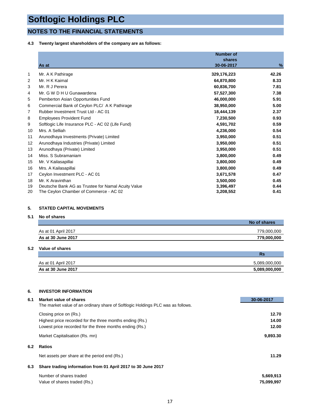### **NOTES TO THE FINANCIAL STATEMENTS**

**4.3 Twenty largest shareholders of the company are as follows:**

|    | As at                                              | <b>Number of</b><br>shares<br>30-06-2017 | %     |
|----|----------------------------------------------------|------------------------------------------|-------|
| 1  | Mr. A K Pathirage                                  | 329,176,223                              | 42.26 |
| 2  | Mr. H K Kaimal                                     | 64,870,800                               | 8.33  |
| 3  | Mr. R J Perera                                     | 60,836,700                               | 7.81  |
| 4  | Mr. G W D H U Gunawardena                          | 57,527,300                               | 7.38  |
| 5  | Pemberton Asian Opportunities Fund                 | 46,000,000                               | 5.91  |
| 6  | Commercial Bank of Ceylon PLC/ A K Pathirage       | 38,950,000                               | 5.00  |
| 7  | Rubber Investment Trust Ltd - AC 01                | 18,444,139                               | 2.37  |
| 8  | <b>Employees Provident Fund</b>                    | 7,230,500                                | 0.93  |
| 9  | Softlogic Life Insurance PLC - AC 02 (Life Fund)   | 4,591,702                                | 0.59  |
| 10 | Mrs. A Selliah                                     | 4,236,000                                | 0.54  |
| 11 | Arunodhaya Investments (Private) Limited           | 3,950,000                                | 0.51  |
| 12 | Arunodhaya Industries (Private) Limited            | 3,950,000                                | 0.51  |
| 13 | Arunodhaya (Private) Limited                       | 3,950,000                                | 0.51  |
| 14 | Miss. S Subramaniam                                | 3,800,000                                | 0.49  |
| 15 | Mr. V Kailasapillai                                | 3,800,000                                | 0.49  |
| 16 | Mrs. A Kailasapillai                               | 3,800,000                                | 0.49  |
| 17 | Ceylon Investment PLC - AC 01                      | 3,671,578                                | 0.47  |
| 18 | Mr. K Aravinthan                                   | 3,500,000                                | 0.45  |
| 19 | Deutsche Bank AG as Trustee for Namal Acuity Value | 3,396,497                                | 0.44  |
| 20 | The Ceylon Chamber of Commerce - AC 02             | 3,208,552                                | 0.41  |

#### **5. STATED CAPITAL MOVEMENTS**

#### **5.1 No of shares**

|                     | No of shares |
|---------------------|--------------|
| As at 01 April 2017 | 779.000.000  |
| As at 30 June 2017  | 779,000,000  |

#### **5.2 Value of shares**

|                     | Rs            |
|---------------------|---------------|
| As at 01 April 2017 | 5.089.000.000 |
| As at 30 June 2017  | 5,089,000,000 |

#### **6. INVESTOR INFORMATION**

| 6.1 | Market value of shares                                                          | 30-06-2017 |
|-----|---------------------------------------------------------------------------------|------------|
|     | The market value of an ordinary share of Softlogic Holdings PLC was as follows. |            |
|     | Closing price on (Rs.)                                                          | 12.70      |
|     | Highest price recorded for the three months ending (Rs.)                        | 14.00      |
|     | Lowest price recorded for the three months ending (Rs.)                         | 12.00      |
|     | Market Capitalisation (Rs. mn)                                                  | 9,893.30   |
| 6.2 | <b>Ratios</b>                                                                   |            |
|     | Net assets per share at the period end (Rs.)                                    | 11.29      |
| 6.3 | Share trading information from 01 April 2017 to 30 June 2017                    |            |
|     | Number of shares traded                                                         | 5,669,913  |
|     | Value of shares traded (Rs.)                                                    | 75,099,997 |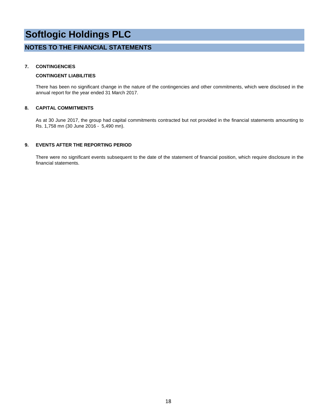### **NOTES TO THE FINANCIAL STATEMENTS**

#### **7. CONTINGENCIES**

#### **CONTINGENT LIABILITIES**

There has been no significant change in the nature of the contingencies and other commitments, which were disclosed in the annual report for the year ended 31 March 2017.

#### **8. CAPITAL COMMITMENTS**

As at 30 June 2017, the group had capital commitments contracted but not provided in the financial statements amounting to Rs. 1,758 mn (30 June 2016 - 5,490 mn).

#### **9. EVENTS AFTER THE REPORTING PERIOD**

There were no significant events subsequent to the date of the statement of financial position, which require disclosure in the financial statements.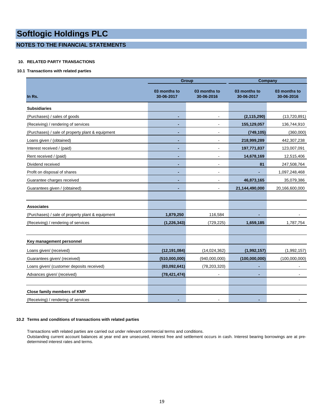#### **NOTES TO THE FINANCIAL STATEMENTS**

#### **10. RELATED PARTY TRANSACTIONS**

#### **10.1 Transactions with related parties**

|                                                  |                            | <b>Group</b>               | Company                    |                            |  |  |
|--------------------------------------------------|----------------------------|----------------------------|----------------------------|----------------------------|--|--|
| In Rs.                                           | 03 months to<br>30-06-2017 | 03 months to<br>30-06-2016 | 03 months to<br>30-06-2017 | 03 months to<br>30-06-2016 |  |  |
| <b>Subsidiaries</b>                              |                            |                            |                            |                            |  |  |
| (Purchases) / sales of goods                     | ٠                          |                            | (2, 115, 290)              | (13,720,891)               |  |  |
| (Receiving) / rendering of services              |                            | $\overline{\phantom{a}}$   | 155,129,057                | 136,744,910                |  |  |
| (Purchases) / sale of property plant & equipment |                            |                            | (749, 105)                 | (360,000)                  |  |  |
| Loans given / (obtained)                         |                            |                            | 218,999,289                | 442,307,238                |  |  |
| Interest received / (paid)                       |                            | $\overline{\phantom{a}}$   | 197,771,837                | 123,007,091                |  |  |
| Rent received / (paid)                           |                            |                            | 14,678,169                 | 12,515,406                 |  |  |
| Dividend received                                |                            |                            | 81                         | 247,508,764                |  |  |
| Profit on disposal of shares                     | ٠                          | $\overline{\phantom{a}}$   |                            | 1,097,248,468              |  |  |
| Guarantee charges received                       |                            | ÷,                         | 46,873,165                 | 35,079,386                 |  |  |
| Guarantees given / (obtained)                    |                            |                            | 21,144,490,000             | 20,166,600,000             |  |  |
|                                                  |                            |                            |                            |                            |  |  |
| <b>Associates</b>                                |                            |                            |                            |                            |  |  |
| (Purchases) / sale of property plant & equipment | 1,879,250                  | 116,584                    |                            |                            |  |  |
| (Receiving) / rendering of services              | (1, 226, 343)              | (729, 225)                 | 1,659,185                  | 1,787,754                  |  |  |
|                                                  |                            |                            |                            |                            |  |  |
| Key management personnel                         |                            |                            |                            |                            |  |  |
| Loans given/ (received)                          | (12, 191, 084)             | (14,024,362)               | (1,992,157)                | (1,992,157)                |  |  |
| Guarantees given/ (received)                     | (510,000,000)              | (940,000,000)              | (100,000,000)              | (100,000,000)              |  |  |
| Loans given/ (customer deposits received)        | (83,092,641)               | (78, 203, 320)             |                            |                            |  |  |
| Advances given/ (received)                       | (78, 421, 474)             | $\overline{a}$             | ٠                          | $\blacksquare$             |  |  |
|                                                  |                            |                            |                            |                            |  |  |
| Close family members of KMP                      |                            |                            |                            |                            |  |  |
| (Receiving) / rendering of services              |                            |                            |                            |                            |  |  |

#### **10.2 Terms and conditions of transactions with related parties**

Transactions with related parties are carried out under relevant commercial terms and conditions. Outstanding current account balances at year end are unsecured, interest free and settlement occurs in cash. Interest bearing borrowings are at predetermined interest rates and terms.